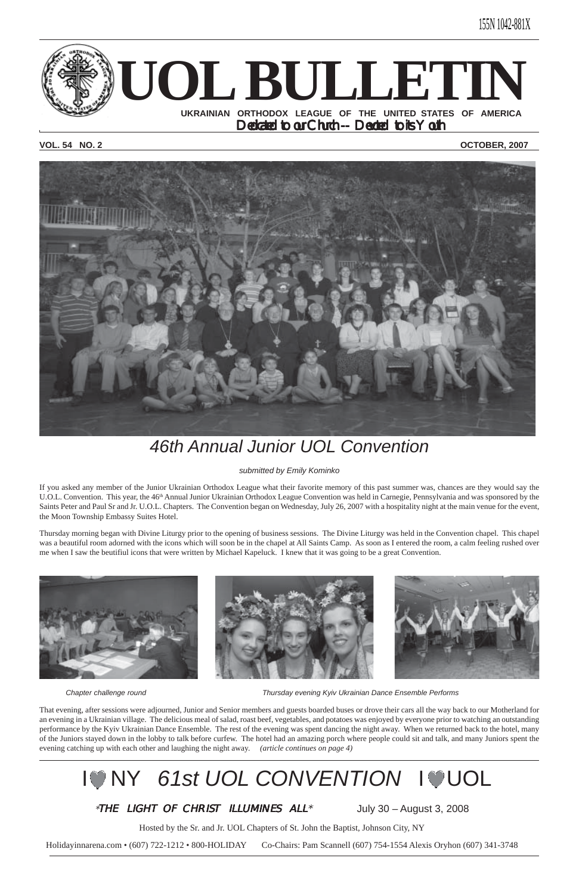

## **VOL. 54 NO. 2 OCTOBER, 2007**



## *46th Annual Junior UOL Convention*

*submitted by Emily Kominko*

If you asked any member of the Junior Ukrainian Orthodox League what their favorite memory of this past summer was, chances are they would say the U.O.L. Convention. This year, the 46<sup>th</sup> Annual Junior Ukrainian Orthodox League Convention was held in Carnegie, Pennsylvania and was sponsored by the Saints Peter and Paul Sr and Jr. U.O.L. Chapters. The Convention began on Wednesday, July 26, 2007 with a hospitality night at the main venue for the event, the Moon Township Embassy Suites Hotel.

Thursday morning began with Divine Liturgy prior to the opening of business sessions. The Divine Liturgy was held in the Convention chapel. This chapel was a beautiful room adorned with the icons which will soon be in the chapel at All Saints Camp. As soon as I entered the room, a calm feeling rushed over me when I saw the beutifiul icons that were written by Michael Kapeluck. I knew that it was going to be a great Convention.







*Chapter challenge round Thursday evening Kyiv Ukrainian Dance Ensemble Performs*

That evening, after sessions were adjourned, Junior and Senior members and guests boarded buses or drove their cars all the way back to our Motherland for an evening in a Ukrainian village. The delicious meal of salad, roast beef, vegetables, and potatoes was enjoyed by everyone prior to watching an outstanding performance by the Kyiv Ukrainian Dance Ensemble. The rest of the evening was spent dancing the night away. When we returned back to the hotel, many of the Juniors stayed down in the lobby to talk before curfew. The hotel had an amazing porch where people could sit and talk, and many Juniors spent the evening catching up with each other and laughing the night away. *(article continues on page 4)*

# **IONY 61st UOL CONVENTION IOUOL**

## \*THE LIGHT OF CHRIST ILLUMINES  $ALL^*$  July 30 – August 3, 2008

Hosted by the Sr. and Jr. UOL Chapters of St. John the Baptist, Johnson City, NY

Holidayinnarena.com • (607) 722-1212 • 800-HOLIDAY Co-Chairs: Pam Scannell (607) 754-1554 Alexis Oryhon (607) 341-3748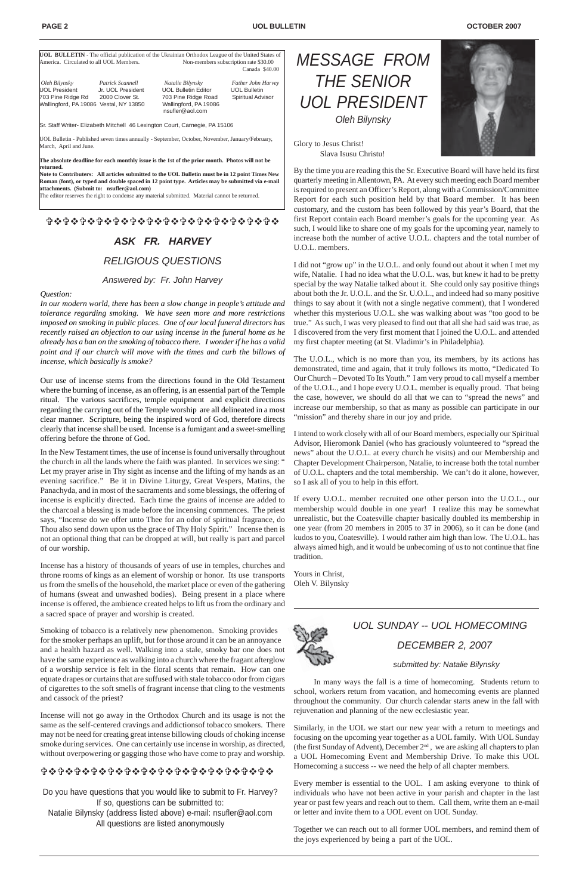|                                         |                                        | <b>UOL BULLETIN</b> - The official publication of the Ukrainian Orthodox League of the United States of |                     |
|-----------------------------------------|----------------------------------------|---------------------------------------------------------------------------------------------------------|---------------------|
| America. Circulated to all UOL Members. |                                        | Non-members subscription rate \$30.00                                                                   |                     |
|                                         |                                        |                                                                                                         | Canada \$40.00      |
| Oleh Bilynsky                           | Patrick Scannell                       | Natalie Bilynsky                                                                                        | Father John Harvey  |
| <b>UOL President</b>                    | Jr. UOL President                      | <b>UOL Bulletin Editor</b>                                                                              | <b>UOL Bulletin</b> |
| 703 Pine Ridge Rd                       | 2000 Clover St.                        | 703 Pine Ridge Road                                                                                     | Spiritual Advisor   |
|                                         | Wallingford, PA 19086 Vestal, NY 13850 | Wallingford, PA 19086<br>nsufler@aol.com                                                                |                     |

Sr. Staff Writer- Elizabeth Mitchell 46 Lexington Court, Carnegie, PA 15106

UOL Bulletin - Published seven times annually - September, October, November, January/February, March, April and June.

**The absolute deadline for each monthly issue is the 1st of the prior month. Photos will not be returned.**

**Note to Contributers: All articles submitted to the UOL Bulletin must be in 12 point Times New Roman (font), or typed and double spaced in 12 point type. Articles may be submitted via e-mail attachments. (Submit to: nsufler@aol.com)**

The editor reserves the right to condense any material submitted. Material cannot be returned.

### !"!"!"!"!"!"!"!"!"!"!"!"!"!"

## *ASK FR. HARVEY RELIGIOUS QUESTIONS*

#### *Answered by: Fr. John Harvey*

#### *Question:*

*In our modern world, there has been a slow change in people's attitude and tolerance regarding smoking. We have seen more and more restrictions imposed on smoking in public places. One of our local funeral directors has recently raised an objection to our using incense in the funeral home as he already has a ban on the smoking of tobacco there. I wonder if he has a valid point and if our church will move with the times and curb the billows of incense, which basically is smoke?*

Our use of incense stems from the directions found in the Old Testament where the burning of incense, as an offering, is an essential part of the Temple ritual. The various sacrifices, temple equipment and explicit directions regarding the carrying out of the Temple worship are all delineated in a most clear manner. Scripture, being the inspired word of God, therefore directs clearly that incense shall be used. Incense is a fumigant and a sweet-smelling offering before the throne of God.

In the New Testament times, the use of incense is found universally throughout the church in all the lands where the faith was planted. In services we sing: " Let my prayer arise in Thy sight as incense and the lifting of my hands as an evening sacrifice." Be it in Divine Liturgy, Great Vespers, Matins, the Panachyda, and in most of the sacraments and some blessings, the offering of incense is explicitly directed. Each time the grains of incense are added to the charcoal a blessing is made before the incensing commences. The priest says, "Incense do we offer unto Thee for an odor of spiritual fragrance, do Thou also send down upon us the grace of Thy Holy Spirit." Incense then is not an optional thing that can be dropped at will, but really is part and parcel of our worship.

The U.O.L., which is no more than you, its members, by its actions has demonstrated, time and again, that it truly follows its motto, "Dedicated To Our Church – Devoted To Its Youth." I am very proud to call myself a member of the U.O.L., and I hope every U.O.L. member is equally proud. That being the case, however, we should do all that we can to "spread the news" and increase our membership, so that as many as possible can participate in our "mission" and thereby share in our joy and pride.

Incense has a history of thousands of years of use in temples, churches and throne rooms of kings as an element of worship or honor. Its use transports us from the smells of the household, the market place or even of the gathering of humans (sweat and unwashed bodies). Being present in a place where incense is offered, the ambience created helps to lift us from the ordinary and a sacred space of prayer and worship is created.

Smoking of tobacco is a relatively new phenomenon. Smoking provides for the smoker perhaps an uplift, but for those around it can be an annoyance and a health hazard as well. Walking into a stale, smoky bar one does not have the same experience as walking into a church where the fragant afterglow of a worship service is felt in the floral scents that remain. How can one equate drapes or curtains that are suffused with stale tobacco odor from cigars of cigarettes to the soft smells of fragrant incense that cling to the vestments and cassock of the priest?

Incense will not go away in the Orthodox Church and its usage is not the same as the self-centered cravings and addictionsof tobacco smokers. There may not be need for creating great intense billowing clouds of choking incense smoke during services. One can certainly use incense in worship, as directed, without overpowering or gagging those who have come to pray and worship.

## **☆☆☆☆☆☆☆☆☆☆☆☆☆☆☆☆☆☆☆☆☆☆☆☆☆☆☆☆☆☆**

*MESSAGE FROM THE SENIOR UOL PRESIDENT Oleh Bilynsky*



Glory to Jesus Christ! Slava Isusu Christu!

By the time you are reading this the Sr. Executive Board will have held its first quarterly meeting in Allentown, PA. At every such meeting each Board member is required to present an Officer's Report, along with a Commission/Committee Report for each such position held by that Board member. It has been customary, and the custom has been followed by this year's Board, that the first Report contain each Board member's goals for the upcoming year. As such, I would like to share one of my goals for the upcoming year, namely to increase both the number of active U.O.L. chapters and the total number of U.O.L. members.

I did not "grow up" in the U.O.L. and only found out about it when I met my wife, Natalie. I had no idea what the U.O.L. was, but knew it had to be pretty special by the way Natalie talked about it. She could only say positive things about both the Jr. U.O.L. and the Sr. U.O.L., and indeed had so many positive things to say about it (with not a single negative comment), that I wondered whether this mysterious U.O.L. she was walking about was "too good to be true." As such, I was very pleased to find out that all she had said was true, as I discovered from the very first moment that I joined the U.O.L. and attended my first chapter meeting (at St. Vladimir's in Philadelphia).

I intend to work closely with all of our Board members, especially our Spiritual Advisor, Hieromonk Daniel (who has graciously volunteered to "spread the news" about the U.O.L. at every church he visits) and our Membership and Chapter Development Chairperson, Natalie, to increase both the total number of U.O.L. chapters and the total membership. We can't do it alone, however, so I ask all of you to help in this effort.

If every U.O.L. member recruited one other person into the U.O.L., our membership would double in one year! I realize this may be somewhat unrealistic, but the Coatesville chapter basically doubled its membership in one year (from 20 members in 2005 to 37 in 2006), so it can be done (and kudos to you, Coatesville). I would rather aim high than low. The U.O.L. has always aimed high, and it would be unbecoming of us to not continue that fine tradition.

Yours in Christ, Oleh V. Bilynsky



Do you have questions that you would like to submit to Fr. Harvey? If so, questions can be submitted to: Natalie Bilynsky (address listed above) e-mail: nsufler@aol.com All questions are listed anonymously



*UOL SUNDAY -- UOL HOMECOMING DECEMBER 2, 2007*

#### *submitted by: Natalie Bilynsky*

In many ways the fall is a time of homecoming. Students return to school, workers return from vacation, and homecoming events are planned throughout the community. Our church calendar starts anew in the fall with rejuvenation and planning of the new ecclesiastic year.

Similarly, in the UOL we start our new year with a return to meetings and focusing on the upcoming year together as a UOL family. With UOL Sunday (the first Sunday of Advent), December 2nd , we are asking all chapters to plan a UOL Homecoming Event and Membership Drive. To make this UOL Homecoming a success -- we need the help of all chapter members.

Every member is essential to the UOL. I am asking everyone to think of individuals who have not been active in your parish and chapter in the last year or past few years and reach out to them. Call them, write them an e-mail or letter and invite them to a UOL event on UOL Sunday.

Together we can reach out to all former UOL members, and remind them of the joys experienced by being a part of the UOL.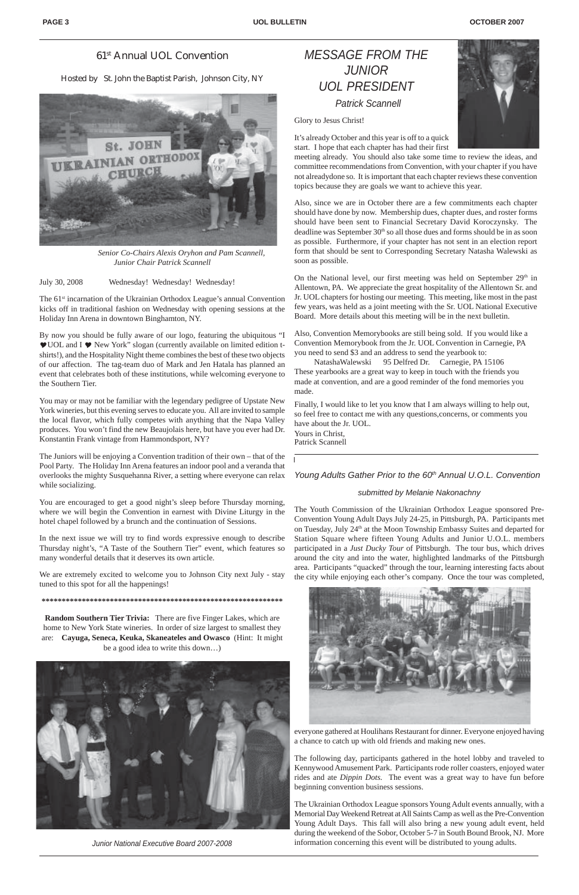## *MESSAGE FROM THE JUNIOR UOL PRESIDENT Patrick Scannell*

Glory to Jesus Christ!

It's already October and this year is off to a quick start. I hope that each chapter has had their first



meeting already. You should also take some time to review the ideas, and committee recommendations from Convention, with your chapter if you have not alreadydone so. It is important that each chapter reviews these convention topics because they are goals we want to achieve this year.

On the National level, our first meeting was held on September 29<sup>th</sup> in Allentown, PA. We appreciate the great hospitality of the Allentown Sr. and Jr. UOL chapters for hosting our meeting. This meeting, like most in the past few years, was held as a joint meeting with the Sr. UOL National Executive Board. More details about this meeting will be in the next bulletin.

Also, since we are in October there are a few commitments each chapter should have done by now. Membership dues, chapter dues, and roster forms should have been sent to Financial Secretary David Koroczynsky. The deadline was September 30<sup>th</sup> so all those dues and forms should be in as soon as possible. Furthermore, if your chapter has not sent in an election report form that should be sent to Corresponding Secretary Natasha Walewski as soon as possible.

The 61<sup>st</sup> incarnation of the Ukrainian Orthodox League's annual Convention kicks off in traditional fashion on Wednesday with opening sessions at the Holiday Inn Arena in downtown Binghamton, NY.

> Also, Convention Memorybooks are still being sold. If you would like a Convention Memorybook from the Jr. UOL Convention in Carnegie, PA you need to send \$3 and an address to send the yearbook to:

 NatashaWalewski 95 Delfred Dr. Carnegie, PA 15106 These yearbooks are a great way to keep in touch with the friends you made at convention, and are a good reminder of the fond memories you made.

Finally, I would like to let you know that I am always willing to help out, so feel free to contact me with any questions,concerns, or comments you have about the Jr. UOL. Yours in Christ, Patrick Scannell

Young Adults Gather Prior to the 60<sup>th</sup> Annual U.O.L. Convention

July 30, 2008 Wednesday! Wednesday! Wednesday!

By now you should be fully aware of our logo, featuring the ubiquitous "I  $\blacktriangleright$  UOL and I  $\blacktriangleright$  New York" slogan (currently available on limited edition tshirts!), and the Hospitality Night theme combines the best of these two objects of our affection. The tag-team duo of Mark and Jen Hatala has planned an event that celebrates both of these institutions, while welcoming everyone to the Southern Tier.

You may or may not be familiar with the legendary pedigree of Upstate New York wineries, but this evening serves to educate you. All are invited to sample the local flavor, which fully competes with anything that the Napa Valley produces. You won't find the new Beaujolais here, but have you ever had Dr. Konstantin Frank vintage from Hammondsport, NY?

The Juniors will be enjoying a Convention tradition of their own – that of the Pool Party. The Holiday Inn Arena features an indoor pool and a veranda that overlooks the mighty Susquehanna River, a setting where everyone can relax while socializing.

You are encouraged to get a good night's sleep before Thursday morning, where we will begin the Convention in earnest with Divine Liturgy in the hotel chapel followed by a brunch and the continuation of Sessions.

In the next issue we will try to find words expressive enough to describe Thursday night's, "A Taste of the Southern Tier" event, which features so many wonderful details that it deserves its own article.

We are extremely excited to welcome you to Johnson City next July - stay tuned to this spot for all the happenings!

**\*\*\*\*\*\*\*\*\*\*\*\*\*\*\*\*\*\*\*\*\*\*\*\*\*\*\*\*\*\*\*\*\*\*\*\*\*\*\*\*\*\*\*\*\*\*\*\*\*\*\*\*\*\*\*\*\*\*\*\***

**Random Southern Tier Trivia:** There are five Finger Lakes, which are home to New York State wineries. In order of size largest to smallest they are: **Cayuga, Seneca, Keuka, Skaneateles and Owasco** (Hint: It might be a good idea to write this down…)

## 61st Annual UOL Convention

Hosted by St. John the Baptist Parish, Johnson City, NY



*Senior Co-Chairs Alexis Oryhon and Pam Scannell, Junior Chair Patrick Scannell*



*Junior National Executive Board 2007-2008*

#### *submitted by Melanie Nakonachny*

The Youth Commission of the Ukrainian Orthodox League sponsored Pre-Convention Young Adult Days July 24-25, in Pittsburgh, PA. Participants met on Tuesday, July 24<sup>th</sup> at the Moon Township Embassy Suites and departed for Station Square where fifteen Young Adults and Junior U.O.L. members participated in a *Just Ducky Tour* of Pittsburgh. The tour bus, which drives around the city and into the water, highlighted landmarks of the Pittsburgh area. Participants "quacked" through the tour, learning interesting facts about the city while enjoying each other's company. Once the tour was completed,



everyone gathered at Houlihans Restaurant for dinner. Everyone enjoyed having a chance to catch up with old friends and making new ones.

The following day, participants gathered in the hotel lobby and traveled to Kennywood Amusement Park. Participants rode roller coasters, enjoyed water rides and ate *Dippin Dots.* The event was a great way to have fun before beginning convention business sessions.

The Ukrainian Orthodox League sponsors Young Adult events annually, with a Memorial Day Weekend Retreat at All Saints Camp as well as the Pre-Convention Young Adult Days. This fall will also bring a new young adult event, held during the weekend of the Sobor, October 5-7 in South Bound Brook, NJ. More information concerning this event will be distributed to young adults.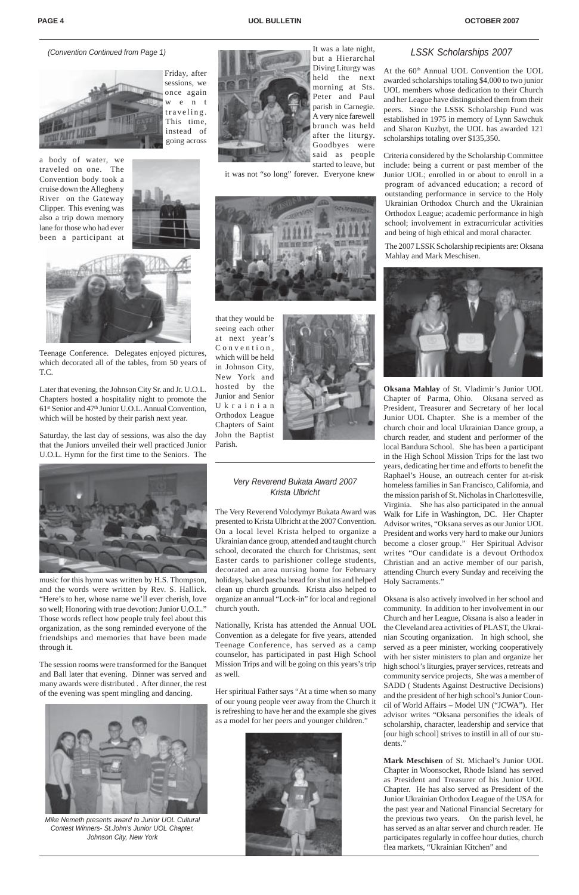The Very Reverend Volodymyr Bukata Award was presented to Krista Ulbricht at the 2007 Convention. On a local level Krista helped to organize a Ukrainian dance group, attended and taught church school, decorated the church for Christmas, sent Easter cards to parishioner college students, decorated an area nursing home for February holidays, baked pascha bread for shut ins and helped clean up church grounds. Krista also helped to organize an annual "Lock-in" for local and regional church youth.

Nationally, Krista has attended the Annual UOL Convention as a delegate for five years, attended Teenage Conference, has served as a camp counselor, has participated in past High School Mission Trips and will be going on this years's trip as well.

Her spiritual Father says "At a time when so many of our young people veer away from the Church it is refreshing to have her and the example she gives as a model for her peers and younger children."



#### *(Convention Continued from Page 1)*



The 2007 LSSK Scholarship recipients are: Oksana Mahlay and Mark Meschisen.



**Oksana Mahlay** of St. Vladimir's Junior UOL Chapter of Parma, Ohio. Oksana served as President, Treasurer and Secretary of her local Junior UOL Chapter. She is a member of the church choir and local Ukrainian Dance group, a church reader, and student and performer of the local Bandura School. She has been a participant in the High School Mission Trips for the last two years, dedicating her time and efforts to benefit the Raphael's House, an outreach center for at-risk homeless families in San Francisco, California, and the mission parish of St. Nicholas in Charlottesville, Virginia. She has also participated in the annual Walk for Life in Washington, DC. Her Chapter Advisor writes, "Oksana serves as our Junior UOL President and works very hard to make our Juniors become a closer group." Her Spiritual Advisor writes "Our candidate is a devout Orthodox Christian and an active member of our parish, attending Church every Sunday and receiving the Holy Sacraments."

At the 60<sup>th</sup> Annual UOL Convention the UOL awarded scholarships totaling \$4,000 to two junior UOL members whose dedication to their Church and her League have distinguished them from their peers. Since the LSSK Scholarship Fund was established in 1975 in memory of Lynn Sawchuk and Sharon Kuzbyt, the UOL has awarded 121 scholarships totaling over \$135,350.

Oksana is also actively involved in her school and community. In addition to her involvement in our Church and her League, Oksana is also a leader in the Cleveland area activities of PLAST, the Ukrainian Scouting organization. In high school, she served as a peer minister, working cooperatively with her sister ministers to plan and organize her high school's liturgies, prayer services, retreats and community service projects, She was a member of SADD ( Students Against Destructive Decisions) and the president of her high school's Junior Council of World Affairs – Model UN ("JCWA"). Her advisor writes "Oksana personifies the ideals of scholarship, character, leadership and service that [our high school] strives to instill in all of our students."

**Mark Meschisen** of St. Michael's Junior UOL Chapter in Woonsocket, Rhode Island has served as President and Treasurer of his Junior UOL Chapter. He has also served as President of the Junior Ukrainian Orthodox League of the USA for the past year and National Financial Secretary for the previous two years. On the parish level, he has served as an altar server and church reader. He participates regularly in coffee hour duties, church flea markets, "Ukrainian Kitchen" and

Friday, after sessions, we once again w e n t traveling. This time, instead of going across

a body of water, we traveled on one. The Convention body took a cruise down the Allegheny River on the Gateway Clipper. This evening was also a trip down memory lane for those who had ever been a participant at





Teenage Conference. Delegates enjoyed pictures, which decorated all of the tables, from 50 years of T.C.

Later that evening, the Johnson City Sr. and Jr. U.O.L. Chapters hosted a hospitality night to promote the 61st Senior and 47th Junior U.O.L. Annual Convention, which will be hosted by their parish next year.

Saturday, the last day of sessions, was also the day that the Juniors unveiled their well practiced Junior U.O.L. Hymn for the first time to the Seniors. The





*Mike Nemeth presents award to Junior UOL Cultural Contest Winners- St.John's Junior UOL Chapter, Johnson City, New York*

Criteria considered by the Scholarship Committee include: being a current or past member of the Junior UOL; enrolled in or about to enroll in a program of advanced education; a record of outstanding performance in service to the Holy Ukrainian Orthodox Church and the Ukrainian Orthodox League; academic performance in high school; involvement in extracurricular activities and being of high ethical and moral character.

music for this hymn was written by H.S. Thompson, and the words were written by Rev. S. Hallick. "Here's to her, whose name we'll ever cherish, love so well; Honoring with true devotion: Junior U.O.L." Those words reflect how people truly feel about this organization, as the song reminded everyone of the friendships and memories that have been made through it.



The session rooms were transformed for the Banquet and Ball later that evening. Dinner was served and many awards were distributed . After dinner, the rest of the evening was spent mingling and dancing.

It was a late night, but a Hierarchal Diving Liturgy was held the next morning at Sts. Peter and Paul parish in Carnegie. A very nice farewell brunch was held after the liturgy. Goodbyes were said as people started to leave, but

it was not "so long" forever. Everyone knew



that they would be seeing each other at next year's Convention, which will be held in Johnson City, New York and hosted by the Junior and Senior Ukrainian Orthodox League Chapters of Saint John the Baptist Parish.



### *Very Reverend Bukata Award 2007 Krista Ulbricht*

#### *LSSK Scholarships 2007*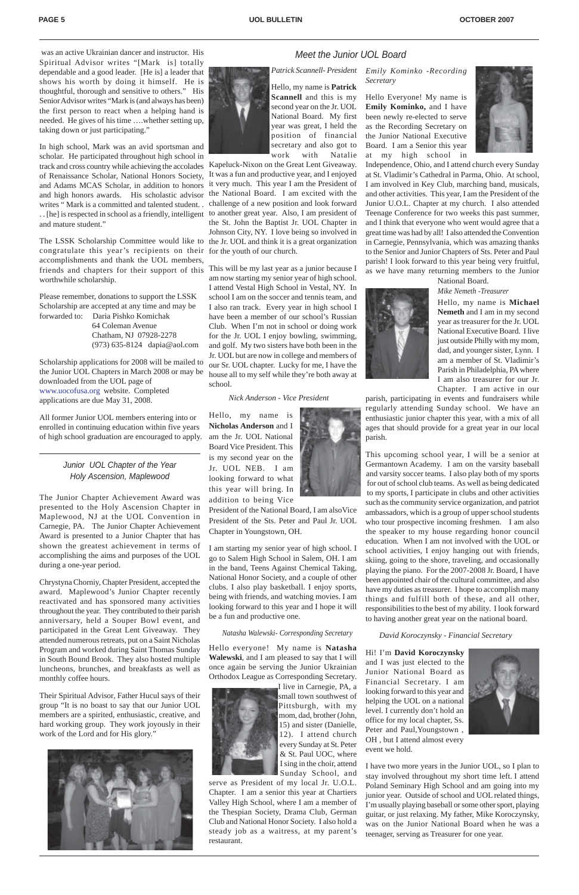#### *Meet the Junior UOL Board*

### *Junior UOL Chapter of the Year Holy Ascension, Maplewood*

The Junior Chapter Achievement Award was presented to the Holy Ascension Chapter in Maplewood, NJ at the UOL Convention in Carnegie, PA. The Junior Chapter Achievement Award is presented to a Junior Chapter that has shown the greatest achievement in terms of accomplishing the aims and purposes of the UOL during a one-year period.

Chrystyna Chorniy, Chapter President, accepted the award. Maplewood's Junior Chapter recently reactivated and has sponsored many activities throughout the year. They contributed to their parish anniversary, held a Souper Bowl event, and participated in the Great Lent Giveaway. They attended numerous retreats, put on a Saint Nicholas Program and worked during Saint Thomas Sunday in South Bound Brook. They also hosted multiple luncheons, brunches, and breakfasts as well as monthly coffee hours.

Their Spiritual Advisor, Father Hucul says of their group "It is no boast to say that our Junior UOL members are a spirited, enthusiastic, creative, and hard working group. They work joyously in their work of the Lord and for His glory."



*Patrick Scannell- President*

Hello, my name is **Patrick Scannell** and this is my second year on the Jr. UOL National Board. My first year was great, I held the position of financial secretary and also got to work with Natalie

Kapeluck-Nixon on the Great Lent Giveaway. It was a fun and productive year, and I enjoyed it very much. This year I am the President of the National Board. I am excited with the challenge of a new position and look forward the St. John the Baptist Jr. UOL Chapter in Johnson City, NY. I love being so involved in

am now starting my senior year of high school. I attend Vestal High School in Vestal, NY. In school I am on the soccer and tennis team, and I also ran track. Every year in high school I have been a member of our school's Russian Club. When I'm not in school or doing work for the Jr. UOL I enjoy bowling, swimming, and golf. My two sisters have both been in the Jr. UOL but are now in college and members of our Sr. UOL chapter. Lucky for me, I have the house all to my self while they're both away at school.

#### *Nick Anderson - Vice President*

Hello, my name is **Nicholas Anderson** and I am the Jr. UOL National Board Vice President. This is my second year on the Jr. UOL NEB. I am looking forward to what this year will bring. In addition to being Vice



President of the National Board, I am alsoVice President of the Sts. Peter and Paul Jr. UOL Chapter in Youngstown, OH.

I am starting my senior year of high school. I go to Salem High School in Salem, OH. I am in the band, Teens Against Chemical Taking, National Honor Society, and a couple of other clubs. I also play basketball. I enjoy sports, being with friends, and watching movies. I am looking forward to this year and I hope it will be a fun and productive one.

Hello everyone! My name is **Natasha Walewski**, and I am pleased to say that I will once again be serving the Junior Ukrainian Orthodox League as Corresponding Secretary.

> I live in Carnegie, PA, a small town southwest of Pittsburgh, with my mom, dad, brother (John, 15) and sister (Danielle, 12). I attend church every Sunday at St. Peter & St. Paul UOC, where I sing in the choir, attend Sunday School, and

serve as President of my local Jr. U.O.L. Chapter. I am a senior this year at Chartiers Valley High School, where I am a member of the Thespian Society, Drama Club, German Club and National Honor Society. I also hold a steady job as a waitress, at my parent's restaurant.

*Emily Kominko -Recording Secretary*

.. [he] is respected in school as a friendly, intelligent to another great year. Also, I am president of In high school, Mark was an avid sportsman and scholar. He participated throughout high school in track and cross country while achieving the accolades of Renaissance Scholar, National Honors Society, and Adams MCAS Scholar, in addition to honors and high honors awards. His scholastic advisor writes " Mark is a committed and talented student. . and mature student."

Hello Everyone! My name is **Emily Kominko,** and I have been newly re-elected to serve as the Recording Secretary on the Junior National Executive Board. I am a Senior this year at my high school in



The LSSK Scholarship Committee would like to the Jr. UOL and think it is a great organization congratulate this year's recipients on their for the youth of our church. friends and chapters for their support of this This will be my last year as a junior because I accomplishments and thank the UOL members, worthwhile scholarship.

Independence, Ohio, and I attend church every Sunday at St. Vladimir's Cathedral in Parma, Ohio. At school, I am involved in Key Club, marching band, musicals, and other activities. This year, I am the President of the Junior U.O.L. Chapter at my church. I also attended Teenage Conference for two weeks this past summer, and I think that everyone who went would agree that a great time was had by all! I also attended the Convention in Carnegie, Pennsylvania, which was amazing thanks to the Senior and Junior Chapters of Sts. Peter and Paul parish! I look forward to this year being very fruitful, as we have many returning members to the Junior

> Hello, my name is **Michael Nemeth** and I am in my second year as treasurer for the Jr. UOL National Executive Board. I live just outside Philly with my mom, dad, and younger sister, Lynn. I am a member of St. Vladimir's Parish in Philadelphia, PA where I am also treasurer for our Jr. Chapter. I am active in our

parish, participating in events and fundraisers while regularly attending Sunday school. We have an enthusiastic junior chapter this year, with a mix of all ages that should provide for a great year in our local parish.

This upcoming school year, I will be a senior at Germantown Academy. I am on the varsity baseball and varsity soccer teams. I also play both of my sports for out of school club teams. As well as being dedicated to my sports, I participate in clubs and other activities such as the community service organization, and patriot ambassadors, which is a group of upper school students who tour prospective incoming freshmen. I am also the speaker to my house regarding honor council education. When I am not involved with the UOL or school activities, I enjoy hanging out with friends, skiing, going to the shore, traveling, and occasionally playing the piano. For the 2007-2008 Jr. Board, I have been appointed chair of the cultural committee, and also have my duties as treasurer. I hope to accomplish many things and fulfill both of these, and all other, responsibilities to the best of my ability. I look forward to having another great year on the national board.

*David Koroczynsky - Financial Secretary*

Hi! I'm **David Koroczynsky**

and I was just elected to the Junior National Board as Financial Secretary. I am looking forward to this year and helping the UOL on a national level. I currently don't hold an office for my local chapter, Ss. Peter and Paul,Youngstown , OH , but I attend almost every event we hold.



National Board. *Mike Nemeth -Treasurer*



I have two more years in the Junior UOL, so I plan to stay involved throughout my short time left. I attend Poland Seminary High School and am going into my junior year. Outside of school and UOL related things, I'm usually playing baseball or some other sport, playing guitar, or just relaxing. My father, Mike Koroczynsky, was on the Junior National Board when he was a teenager, serving as Treasurer for one year.

 was an active Ukrainian dancer and instructor. His Spiritual Advisor writes "[Mark is] totally dependable and a good leader. [He is] a leader that shows his worth by doing it himself. He is thoughtful, thorough and sensitive to others." His Senior Advisor writes "Mark is (and always has been) the first person to react when a helping hand is needed. He gives of his time ….whether setting up, taking down or just participating."

Please remember, donations to support the LSSK Scholarship are accepted at any time and may be forwarded to: Daria Pishko Komichak 64 Coleman Avenue Chatham, NJ 07928-2278 (973) 635-8124 dapia@aol.com

Scholarship applications for 2008 will be mailed to the Junior UOL Chapters in March 2008 or may be downloaded from the UOL page of www.uocofusa.org website. Completed applications are due May 31, 2008.

All former Junior UOL members entering into or enrolled in continuing education within five years of high school graduation are encouraged to apply.

#### *Natasha Walewski- Corresponding Secretary*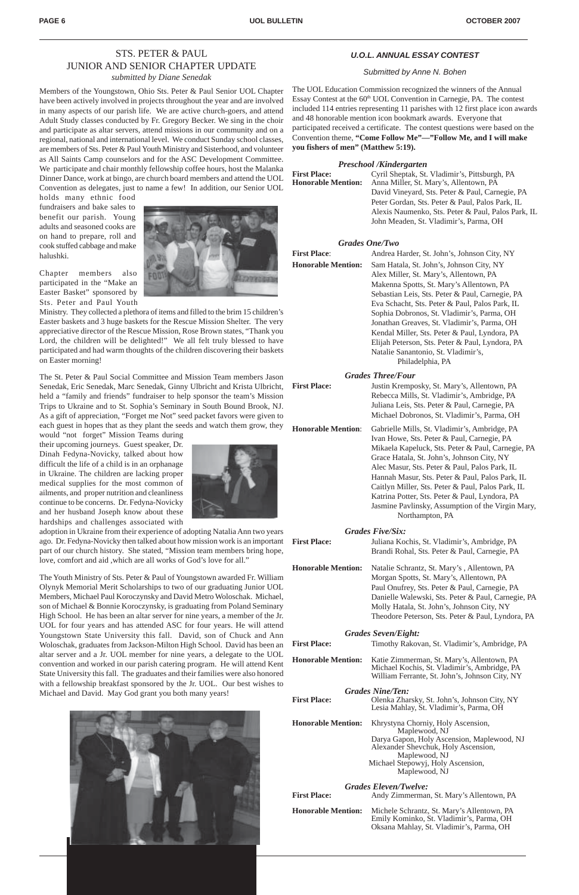### STS. PETER & PAUL JUNIOR AND SENIOR CHAPTER UPDATE *submitted by Diane Senedak*

Members of the Youngstown, Ohio Sts. Peter & Paul Senior UOL Chapter have been actively involved in projects throughout the year and are involved in many aspects of our parish life. We are active church-goers, and attend Adult Study classes conducted by Fr. Gregory Becker. We sing in the choir and participate as altar servers, attend missions in our community and on a regional, national and international level. We conduct Sunday school classes, are members of Sts. Peter & Paul Youth Ministry and Sisterhood, and volunteer as All Saints Camp counselors and for the ASC Development Committee. We participate and chair monthly fellowship coffee hours, host the Malanka Dinner Dance, work at bingo, are church board members and attend the UOL Convention as delegates, just to name a few! In addition, our Senior UOL

holds many ethnic food fundraisers and bake sales to benefit our parish. Young adults and seasoned cooks are on hand to prepare, roll and cook stuffed cabbage and make halushki.

Chapter members also participated in the "Make an Easter Basket" sponsored by Sts. Peter and Paul Youth

Ministry. They collected a plethora of items and filled to the brim 15 children's Easter baskets and 3 huge baskets for the Rescue Mission Shelter. The very appreciative director of the Rescue Mission, Rose Brown states, "Thank you Lord, the children will be delighted!" We all felt truly blessed to have participated and had warm thoughts of the children discovering their baskets on Easter morning!

The St. Peter & Paul Social Committee and Mission Team members Jason Senedak, Eric Senedak, Marc Senedak, Ginny Ulbricht and Krista Ulbricht, held a "family and friends" fundraiser to help sponsor the team's Mission Trips to Ukraine and to St. Sophia's Seminary in South Bound Brook, NJ. As a gift of appreciation, "Forget me Not" seed packet favors were given to each guest in hopes that as they plant the seeds and watch them grow, they

would "not forget" Mission Teams during their upcoming journeys. Guest speaker, Dr. Dinah Fedyna-Novicky, talked about how difficult the life of a child is in an orphanage in Ukraine. The children are lacking proper medical supplies for the most common of ailments, and proper nutrition and cleanliness continue to be concerns. Dr. Fedyna-Novicky and her husband Joseph know about these hardships and challenges associated with

| <b>First Place:</b>       | Andrea Harder, St. John's, Johnson City, NY     |  |
|---------------------------|-------------------------------------------------|--|
| <b>Honorable Mention:</b> | Sam Hatala, St. John's, Johnson City, NY        |  |
|                           | Alex Miller, St. Mary's, Allentown, PA          |  |
|                           | Makenna Spotts, St. Mary's Allentown, PA        |  |
|                           | Sebastian Leis, Sts. Peter & Paul, Carnegie, PA |  |
|                           | Eva Schacht, Sts. Peter & Paul, Palos Park, IL  |  |
|                           | Sophia Dobronos, St. Vladimir's, Parma, OH      |  |
|                           | Jonathan Greaves, St. Vladimir's, Parma, OH     |  |
|                           | Kendal Miller, Sts. Peter & Paul, Lyndora, PA   |  |
|                           | Elijah Peterson, Sts. Peter & Paul, Lyndora, PA |  |
|                           | Natalie Sanantonio, St. Vladimir's,             |  |
|                           | Philadelphia, PA                                |  |
|                           | <b>Grades Three/Four</b>                        |  |

adoption in Ukraine from their experience of adopting Natalia Ann two years ago. Dr. Fedyna-Novicky then talked about how mission work is an important part of our church history. She stated, "Mission team members bring hope, love, comfort and aid ,which are all works of God's love for all."

The Youth Ministry of Sts. Peter & Paul of Youngstown awarded Fr. William Olynyk Memorial Merit Scholarships to two of our graduating Junior UOL Members, Michael Paul Koroczynsky and David Metro Woloschak. Michael, son of Michael & Bonnie Koroczynsky, is graduating from Poland Seminary High School. He has been an altar server for nine years, a member of the Jr. UOL for four years and has attended ASC for four years. He will attend Youngstown State University this fall. David, son of Chuck and Ann Woloschak, graduates from Jackson-Milton High School. David has been an altar server and a Jr. UOL member for nine years, a delegate to the UOL convention and worked in our parish catering program. He will attend Kent State University this fall. The graduates and their families were also honored with a fellowship breakfast sponsored by the Jr. UOL. Our best wishes to Michael and David. May God grant you both many years!

#### *U.O.L. ANNUAL ESSAY CONTEST*

#### *Submitted by Anne N. Bohen*

The UOL Education Commission recognized the winners of the Annual Essay Contest at the 60<sup>th</sup> UOL Convention in Carnegie, PA. The contest included 114 entries representing 11 parishes with 12 first place icon awards and 48 honorable mention icon bookmark awards. Everyone that participated received a certificate. The contest questions were based on the Convention theme, **"Come Follow Me"—"Follow Me, and I will make you fishers of men" (Matthew 5:19).**

#### *Preschool /Kindergarten*

**First Place:** Cyril Sheptak, St. Vladimir's, Pittsburgh, PA **Honorable Mention:** Anna Miller, St. Mary's, Allentown, PA David Vineyard, Sts. Peter & Paul, Carnegie, PA Peter Gordan, Sts. Peter & Paul, Palos Park, IL Alexis Naumenko, Sts. Peter & Paul, Palos Park, IL John Meaden, St. Vladimir's, Parma, OH

#### *Grades One/Two*

| Justin Kremposky, St. Mary's, Allentown, PA<br>Rebecca Mills, St. Vladimir's, Ambridge, PA<br>Juliana Leis, Sts. Peter & Paul, Carnegie, PA<br>Michael Dobronos, St. Vladimir's, Parma, OH                                                                                                                                                                                                                                                                                        |  |  |
|-----------------------------------------------------------------------------------------------------------------------------------------------------------------------------------------------------------------------------------------------------------------------------------------------------------------------------------------------------------------------------------------------------------------------------------------------------------------------------------|--|--|
| Gabrielle Mills, St. Vladimir's, Ambridge, PA<br>Ivan Howe, Sts. Peter & Paul, Carnegie, PA<br>Mikaela Kapeluck, Sts. Peter & Paul, Carnegie, PA<br>Grace Hatala, St. John's, Johnson City, NY<br>Alec Masur, Sts. Peter & Paul, Palos Park, IL<br>Hannah Masur, Sts. Peter & Paul, Palos Park, IL<br>Caitlyn Miller, Sts. Peter & Paul, Palos Park, IL<br>Katrina Potter, Sts. Peter & Paul, Lyndora, PA<br>Jasmine Pavlinsky, Assumption of the Virgin Mary,<br>Northampton, PA |  |  |
| <b>Grades Five/Six:</b><br>Juliana Kochis, St. Vladimir's, Ambridge, PA<br>Brandi Rohal, Sts. Peter & Paul, Carnegie, PA                                                                                                                                                                                                                                                                                                                                                          |  |  |
|                                                                                                                                                                                                                                                                                                                                                                                                                                                                                   |  |  |

**Honorable Mention:** Natalie Schrantz, St. Mary's , Allentown, PA Morgan Spotts, St. Mary's, Allentown, PA Paul Onufrey, Sts. Peter & Paul, Carnegie, PA Danielle Walewski, Sts. Peter & Paul, Carnegie, PA Molly Hatala, St. John's, Johnson City, NY Theodore Peterson, Sts. Peter & Paul, Lyndora, PA

#### *Grades Seven/Eight:*

| <b>First Place:</b> | Timothy Rakovan, St. Vladimir's, Ambridge, PA |
|---------------------|-----------------------------------------------|
|                     |                                               |









| <b>Honorable Mention:</b> | Katie Zimmerman, St. Mary's, Allentown, PA     |
|---------------------------|------------------------------------------------|
|                           | Michael Kochis, St. Vladimir's, Ambridge, PA   |
|                           | William Ferrante, St. John's, Johnson City, NY |

#### *Grades Nine/Ten:*

- **First Place:** Olenka Zharsky, St. John's, Johnson City, NY Lesia Mahlay, St. Vladimir's, Parma, OH
- **Honorable Mention:** Khrystyna Chorniy, Holy Ascension, Maplewood, NJ Darya Gapon, Holy Ascension, Maplewood, NJ Alexander Shevchuk, Holy Ascension, Maplewood, NJ Michael Stepowyj, Holy Ascension, Maplewood, NJ

#### *Grades Eleven/Twelve:*

| <b>First Place:</b><br>Andy Zimmerman, St. Mary's Allentown, PA |  |
|-----------------------------------------------------------------|--|
|-----------------------------------------------------------------|--|

**Honorable Mention:** Michele Schrantz, St. Mary's Allentown, PA Emily Kominko, St. Vladimir's, Parma, OH Oksana Mahlay, St. Vladimir's, Parma, OH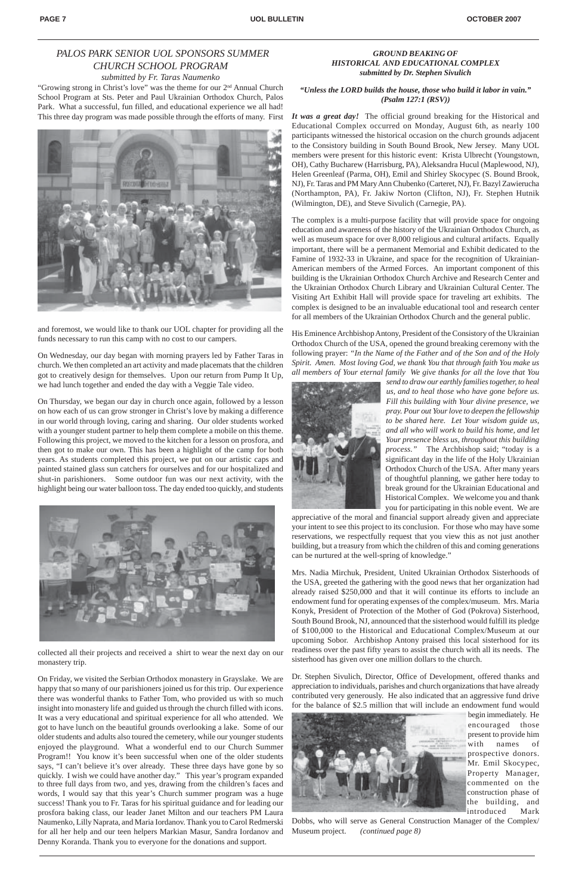"Growing strong in Christ's love" was the theme for our 2nd Annual Church School Program at Sts. Peter and Paul Ukrainian Orthodox Church, Palos Park. What a successful, fun filled, and educational experience we all had! This three day program was made possible through the efforts of many. First



and foremost, we would like to thank our UOL chapter for providing all the funds necessary to run this camp with no cost to our campers.

On Wednesday, our day began with morning prayers led by Father Taras in church. We then completed an art activity and made placemats that the children got to creatively design for themselves. Upon our return from Pump It Up, we had lunch together and ended the day with a Veggie Tale video.

On Thursday, we began our day in church once again, followed by a lesson on how each of us can grow stronger in Christ's love by making a difference in our world through loving, caring and sharing. Our older students worked with a younger student partner to help them complete a mobile on this theme. Following this project, we moved to the kitchen for a lesson on prosfora, and then got to make our own. This has been a highlight of the camp for both years. As students completed this project, we put on our artistic caps and painted stained glass sun catchers for ourselves and for our hospitalized and shut-in parishioners. Some outdoor fun was our next activity, with the highlight being our water balloon toss. The day ended too quickly, and students



collected all their projects and received a shirt to wear the next day on our

monastery trip.

On Friday, we visited the Serbian Orthodox monastery in Grayslake. We are happy that so many of our parishioners joined us for this trip. Our experience there was wonderful thanks to Father Tom, who provided us with so much insight into monastery life and guided us through the church filled with icons. It was a very educational and spiritual experience for all who attended. We got to have lunch on the beautiful grounds overlooking a lake. Some of our older students and adults also toured the cemetery, while our younger students enjoyed the playground. What a wonderful end to our Church Summer Program!! You know it's been successful when one of the older students says, "I can't believe it's over already. These three days have gone by so quickly. I wish we could have another day." This year's program expanded to three full days from two, and yes, drawing from the children's faces and words, I would say that this year's Church summer program was a huge success! Thank you to Fr. Taras for his spiritual guidance and for leading our prosfora baking class, our leader Janet Milton and our teachers PM Laura Naumenko, Lilly Naprata, and Maria Iordanov. Thank you to Carol Redmerski for all her help and our teen helpers Markian Masur, Sandra Iordanov and Denny Koranda. Thank you to everyone for the donations and support.

## *PALOS PARK SENIOR UOL SPONSORS SUMMER CHURCH SCHOOL PROGRAM*

*submitted by Fr. Taras Naumenko*

#### *GROUND BEAKING OF HISTORICAL AND EDUCATIONAL COMPLEX submitted by Dr. Stephen Sivulich*

#### *"Unless the LORD builds the house, those who build it labor in vain." (Psalm 127:1 (RSV))*

*It was a great day!* The official ground breaking for the Historical and Educational Complex occurred on Monday, August 6th, as nearly 100 participants witnessed the historical occasion on the church grounds adjacent to the Consistory building in South Bound Brook, New Jersey.Many UOL members were present for this historic event: Krista Ulbrecht (Youngstown, OH), Cathy Bucharew (Harrisburg, PA), Aleksandra Hucul (Maplewood, NJ), Helen Greenleaf (Parma, OH), Emil and Shirley Skocypec (S. Bound Brook, NJ), Fr. Taras and PM Mary Ann Chubenko (Carteret, NJ), Fr. Bazyl Zawierucha (Northampton, PA), Fr. Jakiw Norton (Clifton, NJ), Fr. Stephen Hutnik (Wilmington, DE), and Steve Sivulich (Carnegie, PA).

The complex is a multi-purpose facility that will provide space for ongoing education and awareness of the history of the Ukrainian Orthodox Church, as well as museum space for over 8,000 religious and cultural artifacts. Equally important, there will be a permanent Memorial and Exhibit dedicated to the Famine of 1932-33 in Ukraine, and space for the recognition of Ukrainian-American members of the Armed Forces. An important component of this building is the Ukrainian Orthodox Church Archive and Research Center and the Ukrainian Orthodox Church Library and Ukrainian Cultural Center. The Visiting Art Exhibit Hall will provide space for traveling art exhibits. The complex is designed to be an invaluable educational tool and research center for all members of the Ukrainian Orthodox Church and the general public.

His Eminence Archbishop Antony, President of the Consistory of the Ukrainian Orthodox Church of the USA, opened the ground breaking ceremony with the following prayer: *"In the Name of the Father and of the Son and of the Holy Spirit. Amen. Most loving God, we thank You that through faith You make us all members of Your eternal family We give thanks for all the love that You*



*send to draw our earthly families together, to heal us, and to heal those who have gone before us. Fill this building with Your divine presence, we pray. Pour out Your love to deepen the fellowship to be shared here. Let Your wisdom guide us, and all who will work to build his home, and let Your presence bless us, throughout this building process."* The Archbishop said; "today is a significant day in the life of the Holy Ukrainian Orthodox Church of the USA. After many years of thoughtful planning, we gather here today to break ground for the Ukrainian Educational and Historical Complex. We welcome you and thank you for participating in this noble event. We are

appreciative of the moral and financial support already given and appreciate your intent to see this project to its conclusion. For those who may have some reservations, we respectfully request that you view this as not just another building, but a treasury from which the children of this and coming generations can be nurtured at the well-spring of knowledge."

Mrs. Nadia Mirchuk, President, United Ukrainian Orthodox Sisterhoods of the USA, greeted the gathering with the good news that her organization had already raised \$250,000 and that it will continue its efforts to include an endowment fund for operating expenses of the complex/museum. Mrs. Maria Konyk, President of Protection of the Mother of God (Pokrova) Sisterhood, South Bound Brook, NJ, announced that the sisterhood would fulfill its pledge of \$100,000 to the Historical and Educational Complex/Museum at our upcoming Sobor. Archbishop Antony praised this local sisterhood for its readiness over the past fifty years to assist the church with all its needs. The

sisterhood has given over one million dollars to the church.

Dr. Stephen Sivulich, Director, Office of Development, offered thanks and appreciation to individuals, parishes and church organizations that have already contributed very generously. He also indicated that an aggressive fund drive for the balance of \$2.5 million that will include an endowment fund would



begin immediately. He encouraged those present to provide him with names of prospective donors. Mr. Emil Skocypec, Property Manager, commented on the construction phase of the building, and introduced Mark

Dobbs, who will serve as General Construction Manager of the Complex/ Museum project. *(continued page 8)*